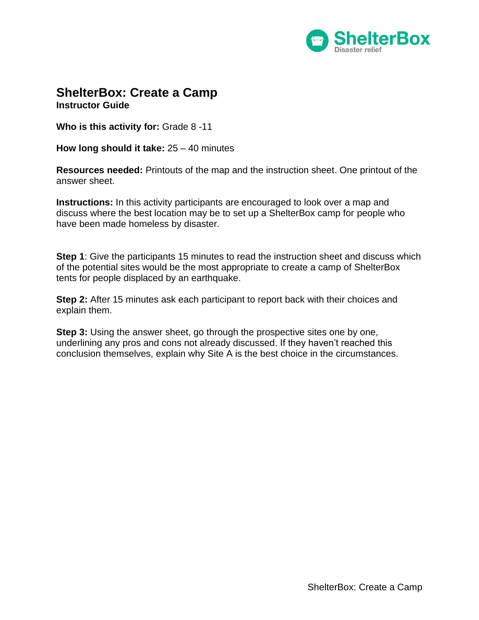

# **ShelterBox: Create a Camp**

**Instructor Guide**

**Who is this activity for:** Grade 8 -11

**How long should it take:** 25 – 40 minutes

**Resources needed:** Printouts of the map and the instruction sheet. One printout of the answer sheet.

**Instructions:** In this activity participants are encouraged to look over a map and discuss where the best location may be to set up a ShelterBox camp for people who have been made homeless by disaster.

**Step 1**: Give the participants 15 minutes to read the instruction sheet and discuss which of the potential sites would be the most appropriate to create a camp of ShelterBox tents for people displaced by an earthquake.

**Step 2:** After 15 minutes ask each participant to report back with their choices and explain them.

**Step 3:** Using the answer sheet, go through the prospective sites one by one, underlining any pros and cons not already discussed. If they haven't reached this conclusion themselves, explain why Site A is the best choice in the circumstances.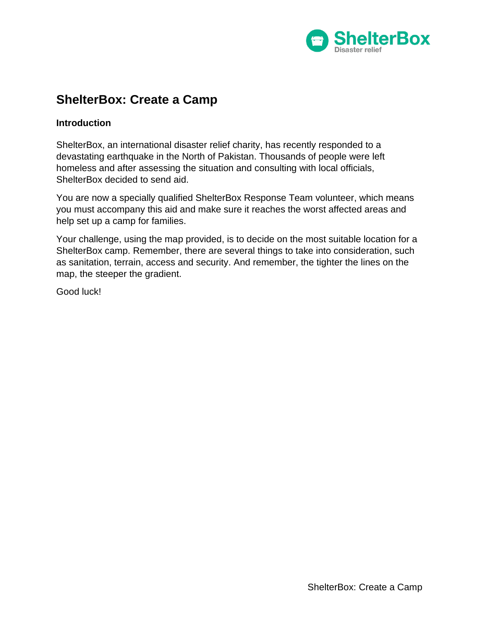

# **ShelterBox: Create a Camp**

### **Introduction**

ShelterBox, an international disaster relief charity, has recently responded to a devastating earthquake in the North of Pakistan. Thousands of people were left homeless and after assessing the situation and consulting with local officials, ShelterBox decided to send aid.

You are now a specially qualified ShelterBox Response Team volunteer, which means you must accompany this aid and make sure it reaches the worst affected areas and help set up a camp for families.

Your challenge, using the map provided, is to decide on the most suitable location for a ShelterBox camp. Remember, there are several things to take into consideration, such as sanitation, terrain, access and security. And remember, the tighter the lines on the map, the steeper the gradient.

Good luck!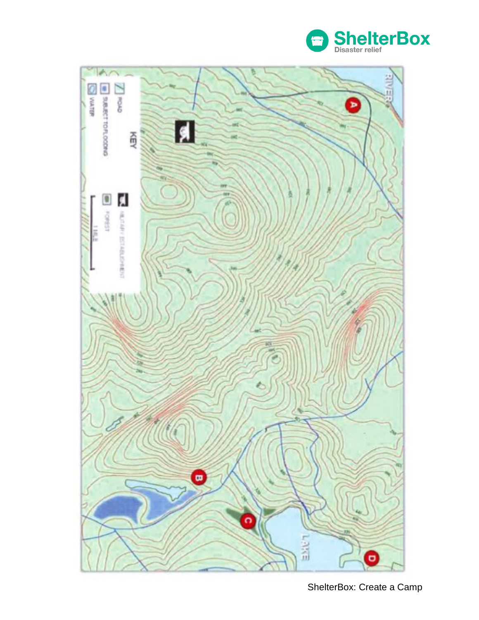



ShelterBox: Create a Camp